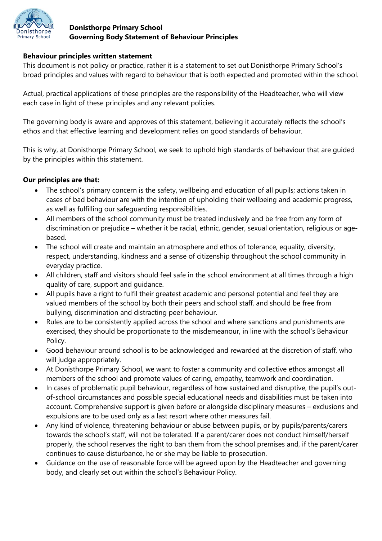

### **Donisthorpe Primary School Governing Body Statement of Behaviour Principles**

### **Behaviour principles written statement**

This document is not policy or practice, rather it is a statement to set out Donisthorpe Primary School's broad principles and values with regard to behaviour that is both expected and promoted within the school.

Actual, practical applications of these principles are the responsibility of the Headteacher, who will view each case in light of these principles and any relevant policies.

The governing body is aware and approves of this statement, believing it accurately reflects the school's ethos and that effective learning and development relies on good standards of behaviour.

This is why, at Donisthorpe Primary School, we seek to uphold high standards of behaviour that are guided by the principles within this statement.

## **Our principles are that:**

- The school's primary concern is the safety, wellbeing and education of all pupils; actions taken in cases of bad behaviour are with the intention of upholding their wellbeing and academic progress, as well as fulfilling our safeguarding responsibilities.
- All members of the school community must be treated inclusively and be free from any form of discrimination or prejudice – whether it be racial, ethnic, gender, sexual orientation, religious or agebased.
- The school will create and maintain an atmosphere and ethos of tolerance, equality, diversity, respect, understanding, kindness and a sense of citizenship throughout the school community in everyday practice.
- All children, staff and visitors should feel safe in the school environment at all times through a high quality of care, support and guidance.
- All pupils have a right to fulfil their greatest academic and personal potential and feel they are valued members of the school by both their peers and school staff, and should be free from bullying, discrimination and distracting peer behaviour.
- Rules are to be consistently applied across the school and where sanctions and punishments are exercised, they should be proportionate to the misdemeanour, in line with the school's Behaviour Policy.
- Good behaviour around school is to be acknowledged and rewarded at the discretion of staff, who will judge appropriately.
- At Donisthorpe Primary School, we want to foster a community and collective ethos amongst all members of the school and promote values of caring, empathy, teamwork and coordination.
- In cases of problematic pupil behaviour, regardless of how sustained and disruptive, the pupil's outof-school circumstances and possible special educational needs and disabilities must be taken into account. Comprehensive support is given before or alongside disciplinary measures – exclusions and expulsions are to be used only as a last resort where other measures fail.
- Any kind of violence, threatening behaviour or abuse between pupils, or by pupils/parents/carers towards the school's staff, will not be tolerated. If a parent/carer does not conduct himself/herself properly, the school reserves the right to ban them from the school premises and, if the parent/carer continues to cause disturbance, he or she may be liable to prosecution.
- Guidance on the use of reasonable force will be agreed upon by the Headteacher and governing body, and clearly set out within the school's Behaviour Policy.